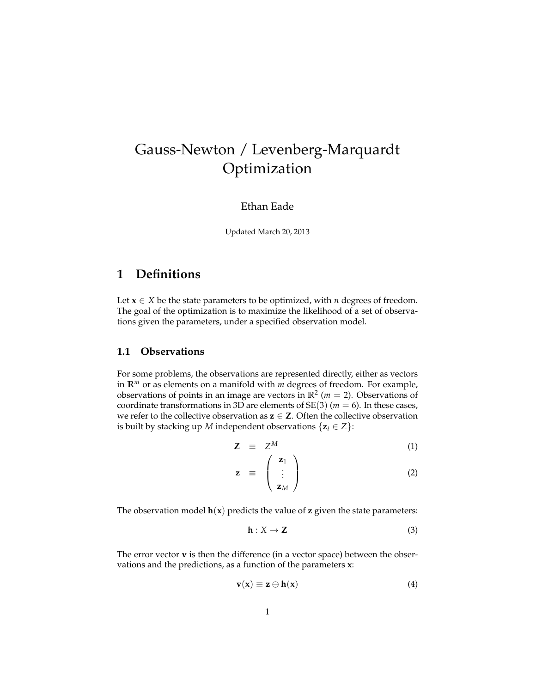# Gauss-Newton / Levenberg-Marquardt Optimization

### Ethan Eade

Updated March 20, 2013

### **1 Definitions**

Let  $x \in X$  be the state parameters to be optimized, with *n* degrees of freedom. The goal of the optimization is to maximize the likelihood of a set of observations given the parameters, under a specified observation model.

### **1.1 Observations**

For some problems, the observations are represented directly, either as vectors in **R***<sup>m</sup>* or as elements on a manifold with *m* degrees of freedom. For example, observations of points in an image are vectors in  $\mathbb{R}^2$  ( $m = 2$ ). Observations of coordinate transformations in 3D are elements of  $SE(3)$  ( $m = 6$ ). In these cases, we refer to the collective observation as  $z \in Z$ . Often the collective observation is built by stacking up *M* independent observations  $\{z_i \in Z\}$ :

$$
\mathbf{Z} \equiv Z^M \tag{1}
$$

$$
\mathbf{z} = \begin{pmatrix} \mathbf{z}_1 \\ \vdots \\ \mathbf{z}_M \end{pmatrix} \tag{2}
$$

The observation model  $h(x)$  predicts the value of **z** given the state parameters:

$$
\mathbf{h}: X \to \mathbf{Z} \tag{3}
$$

The error vector **v** is then the difference (in a vector space) between the observations and the predictions, as a function of the parameters **x**:

<span id="page-0-0"></span>
$$
\mathbf{v}(\mathbf{x}) \equiv \mathbf{z} \ominus \mathbf{h}(\mathbf{x}) \tag{4}
$$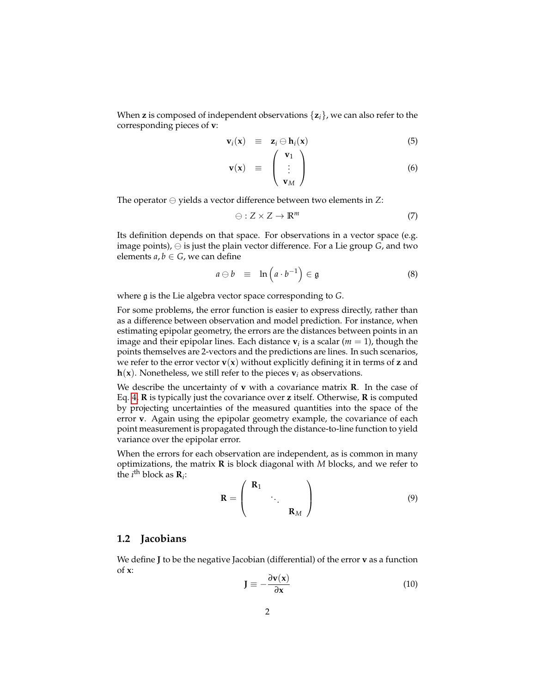When **z** is composed of independent observations {**z***i*}, we can also refer to the corresponding pieces of **v**:

$$
\mathbf{v}_i(\mathbf{x}) \equiv \mathbf{z}_i \ominus \mathbf{h}_i(\mathbf{x}) \tag{5}
$$

$$
\mathbf{v}(\mathbf{x}) \equiv \begin{pmatrix} \mathbf{v}_1 \\ \vdots \\ \mathbf{v}_M \end{pmatrix} \tag{6}
$$

The operator  $\ominus$  yields a vector difference between two elements in *Z*:

$$
\ominus: Z \times Z \to \mathbb{R}^m \tag{7}
$$

Its definition depends on that space. For observations in a vector space (e.g. image points),  $\ominus$  is just the plain vector difference. For a Lie group *G*, and two elements  $a, b \in G$ , we can define

<span id="page-1-0"></span>
$$
a \ominus b \equiv \ln\left(a \cdot b^{-1}\right) \in \mathfrak{g} \tag{8}
$$

where g is the Lie algebra vector space corresponding to *G*.

For some problems, the error function is easier to express directly, rather than as a difference between observation and model prediction. For instance, when estimating epipolar geometry, the errors are the distances between points in an image and their epipolar lines. Each distance  $v_i$  is a scalar ( $m = 1$ ), though the points themselves are 2-vectors and the predictions are lines. In such scenarios, we refer to the error vector  $\mathbf{v}(\mathbf{x})$  without explicitly defining it in terms of **z** and  $h(x)$ . Nonetheless, we still refer to the pieces  $v_i$  as observations.

We describe the uncertainty of **v** with a covariance matrix **R**. In the case of Eq. [4,](#page-0-0) **R** is typically just the covariance over **z** itself. Otherwise, **R** is computed by projecting uncertainties of the measured quantities into the space of the error **v**. Again using the epipolar geometry example, the covariance of each point measurement is propagated through the distance-to-line function to yield variance over the epipolar error.

When the errors for each observation are independent, as is common in many optimizations, the matrix **R** is block diagonal with *M* blocks, and we refer to the  $i^{\text{th}}$  block as  $\mathbf{R}_i$ :

$$
\mathbf{R} = \begin{pmatrix} \mathbf{R}_1 & & \\ & \ddots & \\ & & \mathbf{R}_M \end{pmatrix} \tag{9}
$$

#### **1.2 Jacobians**

We define **J** to be the negative Jacobian (differential) of the error **v** as a function of **x**: *∂***v**(**x**)

$$
\mathbf{J} \equiv -\frac{\partial \mathbf{v}(\mathbf{x})}{\partial \mathbf{x}} \tag{10}
$$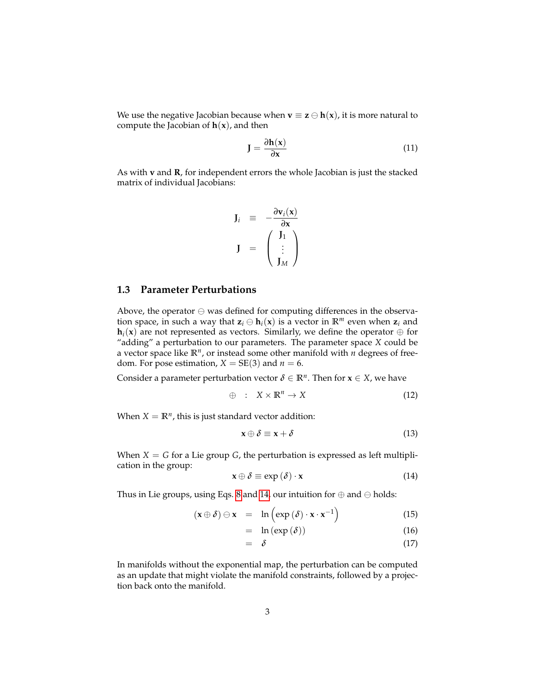We use the negative Jacobian because when  $\mathbf{v} \equiv \mathbf{z} \ominus \mathbf{h}(\mathbf{x})$ , it is more natural to compute the Jacobian of  $h(x)$ , and then

$$
J = \frac{\partial h(x)}{\partial x} \tag{11}
$$

As with **v** and **R**, for independent errors the whole Jacobian is just the stacked matrix of individual Jacobians:

$$
\mathbf{J}_i \equiv -\frac{\partial \mathbf{v}_i(\mathbf{x})}{\partial \mathbf{x}} \\ \mathbf{J} \equiv \begin{pmatrix} \mathbf{J}_1 \\ \vdots \\ \mathbf{J}_M \end{pmatrix}
$$

#### **1.3 Parameter Perturbations**

Above, the operator  $\ominus$  was defined for computing differences in the observation space, in such a way that  $z_i \oplus h_i(x)$  is a vector in  $\mathbb{R}^m$  even when  $z_i$  and  $\mathbf{h}_i(\mathbf{x})$  are not represented as vectors. Similarly, we define the operator  $\oplus$  for "adding" a perturbation to our parameters. The parameter space *X* could be a vector space like **R***<sup>n</sup>* , or instead some other manifold with *n* degrees of freedom. For pose estimation,  $X = SE(3)$  and  $n = 6$ .

Consider a parameter perturbation vector  $\delta \in \mathbb{R}^n$ . Then for  $\mathbf{x} \in X$ , we have

$$
\oplus \quad : \quad X \times \mathbb{R}^n \to X \tag{12}
$$

When  $X = \mathbb{R}^n$ , this is just standard vector addition:

$$
\mathbf{x} \oplus \delta \equiv \mathbf{x} + \delta \tag{13}
$$

When  $X = G$  for a Lie group  $G$ , the perturbation is expressed as left multiplication in the group:

<span id="page-2-0"></span>
$$
\mathbf{x} \oplus \delta \equiv \exp\left(\delta\right) \cdot \mathbf{x} \tag{14}
$$

Thus in Lie groups, using Eqs. [8](#page-1-0) and [14,](#page-2-0) our intuition for  $\oplus$  and  $\ominus$  holds:

$$
(\mathbf{x} \oplus \delta) \ominus \mathbf{x} = \ln (\exp (\delta) \cdot \mathbf{x} \cdot \mathbf{x}^{-1})
$$
 (15)

$$
= \ln (\exp (\delta)) \tag{16}
$$

$$
= \delta \tag{17}
$$

In manifolds without the exponential map, the perturbation can be computed as an update that might violate the manifold constraints, followed by a projection back onto the manifold.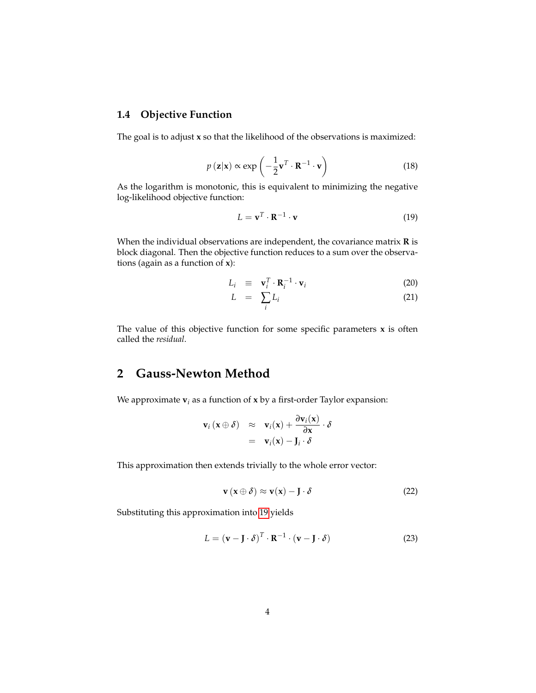### **1.4 Objective Function**

The goal is to adjust **x** so that the likelihood of the observations is maximized:

$$
p(\mathbf{z}|\mathbf{x}) \propto \exp\left(-\frac{1}{2}\mathbf{v}^T \cdot \mathbf{R}^{-1} \cdot \mathbf{v}\right)
$$
 (18)

As the logarithm is monotonic, this is equivalent to minimizing the negative log-likelihood objective function:

<span id="page-3-0"></span>
$$
L = \mathbf{v}^T \cdot \mathbf{R}^{-1} \cdot \mathbf{v}
$$
 (19)

When the individual observations are independent, the covariance matrix **R** is block diagonal. Then the objective function reduces to a sum over the observations (again as a function of **x**):

<span id="page-3-1"></span>
$$
L_i \equiv \mathbf{v}_i^T \cdot \mathbf{R}_i^{-1} \cdot \mathbf{v}_i \tag{20}
$$

$$
L = \sum_{i} L_i \tag{21}
$$

The value of this objective function for some specific parameters  $x$  is often called the *residual*.

### **2 Gauss-Newton Method**

We approximate  $\mathbf{v}_i$  as a function of  $\mathbf{x}$  by a first-order Taylor expansion:

$$
\mathbf{v}_i(\mathbf{x}\oplus\delta) \quad \approx \quad \mathbf{v}_i(\mathbf{x}) + \frac{\partial \mathbf{v}_i(\mathbf{x})}{\partial \mathbf{x}} \cdot \delta
$$
\n
$$
= \quad \mathbf{v}_i(\mathbf{x}) - \mathbf{J}_i \cdot \delta
$$

This approximation then extends trivially to the whole error vector:

$$
\mathbf{v}\left(\mathbf{x}\oplus\boldsymbol{\delta}\right)\approx\mathbf{v}(\mathbf{x})-\mathbf{J}\cdot\boldsymbol{\delta}\tag{22}
$$

Substituting this approximation into [19](#page-3-0) yields

$$
L = (\mathbf{v} - \mathbf{J} \cdot \delta)^T \cdot \mathbf{R}^{-1} \cdot (\mathbf{v} - \mathbf{J} \cdot \delta)
$$
 (23)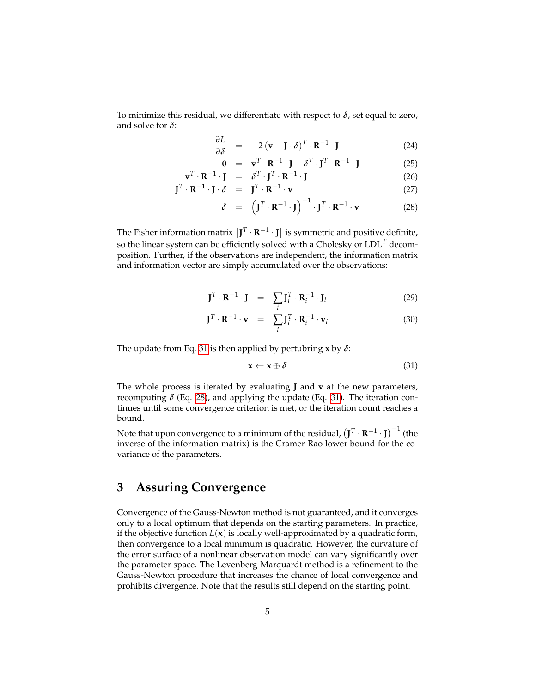To minimize this residual, we differentiate with respect to *δ*, set equal to zero, and solve for *δ*:

<span id="page-4-1"></span>
$$
\frac{\partial L}{\partial \delta} = -2 (\mathbf{v} - \mathbf{J} \cdot \delta)^T \cdot \mathbf{R}^{-1} \cdot \mathbf{J}
$$
 (24)

$$
\mathbf{0} = \mathbf{v}^T \cdot \mathbf{R}^{-1} \cdot \mathbf{J} - \delta^T \cdot \mathbf{J}^T \cdot \mathbf{R}^{-1} \cdot \mathbf{J}
$$
 (25)

$$
\mathbf{v}^T \cdot \mathbf{R}^{-1} \cdot \mathbf{J} = \delta^T \cdot \mathbf{J}^T \cdot \mathbf{R}^{-1} \cdot \mathbf{J}
$$
 (26)

$$
\mathbf{J}^T \cdot \mathbf{R}^{-1} \cdot \mathbf{J} \cdot \delta = \mathbf{J}^T \cdot \mathbf{R}^{-1} \cdot \mathbf{v}
$$
 (27)

$$
\delta = \left(\mathbf{J}^T \cdot \mathbf{R}^{-1} \cdot \mathbf{J}\right)^{-1} \cdot \mathbf{J}^T \cdot \mathbf{R}^{-1} \cdot \mathbf{v}
$$
 (28)

The Fisher information matrix  $\left[\mathbf{J}^T\cdot\mathbf{R}^{-1}\cdot\mathbf{J}\right]$  is symmetric and positive definite, so the linear system can be efficiently solved with a Cholesky or LDL*<sup>T</sup>* decomposition. Further, if the observations are independent, the information matrix and information vector are simply accumulated over the observations:

$$
\mathbf{J}^T \cdot \mathbf{R}^{-1} \cdot \mathbf{J} = \sum_i \mathbf{J}_i^T \cdot \mathbf{R}_i^{-1} \cdot \mathbf{J}_i
$$
 (29)

$$
\mathbf{J}^T \cdot \mathbf{R}^{-1} \cdot \mathbf{v} = \sum_i \mathbf{J}_i^T \cdot \mathbf{R}_i^{-1} \cdot \mathbf{v}_i
$$
 (30)

The update from Eq. [31](#page-4-0) is then applied by pertubring **x** by *δ*:

<span id="page-4-0"></span>
$$
\mathbf{x} \leftarrow \mathbf{x} \oplus \delta \tag{31}
$$

The whole process is iterated by evaluating **J** and **v** at the new parameters, recomputing  $\delta$  (Eq. [28\)](#page-4-1), and applying the update (Eq. [31\)](#page-4-0). The iteration continues until some convergence criterion is met, or the iteration count reaches a bound.

Note that upon convergence to a minimum of the residual,  $\left(\mathbf{J}^T\cdot\mathbf{R}^{-1}\cdot\mathbf{J}\right)^{-1}$  (the inverse of the information matrix) is the Cramer-Rao lower bound for the covariance of the parameters.

### **3 Assuring Convergence**

Convergence of the Gauss-Newton method is not guaranteed, and it converges only to a local optimum that depends on the starting parameters. In practice, if the objective function  $L(x)$  is locally well-approximated by a quadratic form, then convergence to a local minimum is quadratic. However, the curvature of the error surface of a nonlinear observation model can vary significantly over the parameter space. The Levenberg-Marquardt method is a refinement to the Gauss-Newton procedure that increases the chance of local convergence and prohibits divergence. Note that the results still depend on the starting point.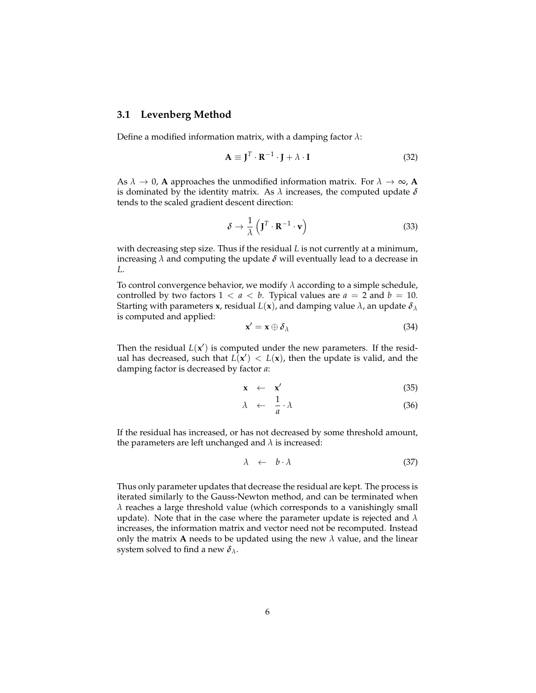#### **3.1 Levenberg Method**

Define a modified information matrix, with a damping factor *λ*:

$$
\mathbf{A} \equiv \mathbf{J}^T \cdot \mathbf{R}^{-1} \cdot \mathbf{J} + \lambda \cdot \mathbf{I}
$$
 (32)

As  $\lambda \to 0$ , **A** approaches the unmodified information matrix. For  $\lambda \to \infty$ , **A** is dominated by the identity matrix. As *λ* increases, the computed update *δ* tends to the scaled gradient descent direction:

$$
\delta \to \frac{1}{\lambda} \left( \mathbf{J}^T \cdot \mathbf{R}^{-1} \cdot \mathbf{v} \right)
$$
 (33)

with decreasing step size. Thus if the residual *L* is not currently at a minimum, increasing  $\lambda$  and computing the update  $\delta$  will eventually lead to a decrease in *L*.

To control convergence behavior, we modify *λ* according to a simple schedule, controlled by two factors  $1 < a < b$ . Typical values are  $a = 2$  and  $b = 10$ . Starting with parameters **x**, residual  $L(\mathbf{x})$ , and damping value  $\lambda$ , an update  $\delta_{\lambda}$ is computed and applied:

$$
\mathbf{x}' = \mathbf{x} \oplus \delta_{\lambda} \tag{34}
$$

Then the residual  $L(x')$  is computed under the new parameters. If the residual has decreased, such that  $\hat{L}(x') < L(x)$ , then the update is valid, and the damping factor is decreased by factor *a*:

$$
\mathbf{x} \leftarrow \mathbf{x}' \tag{35}
$$

$$
\lambda \quad \leftarrow \quad \frac{1}{a} \cdot \lambda \tag{36}
$$

If the residual has increased, or has not decreased by some threshold amount, the parameters are left unchanged and  $\lambda$  is increased:

$$
\lambda \leftarrow b \cdot \lambda \tag{37}
$$

Thus only parameter updates that decrease the residual are kept. The process is iterated similarly to the Gauss-Newton method, and can be terminated when *λ* reaches a large threshold value (which corresponds to a vanishingly small update). Note that in the case where the parameter update is rejected and *λ* increases, the information matrix and vector need not be recomputed. Instead only the matrix **A** needs to be updated using the new  $\lambda$  value, and the linear system solved to find a new  $\delta_{\lambda}$ .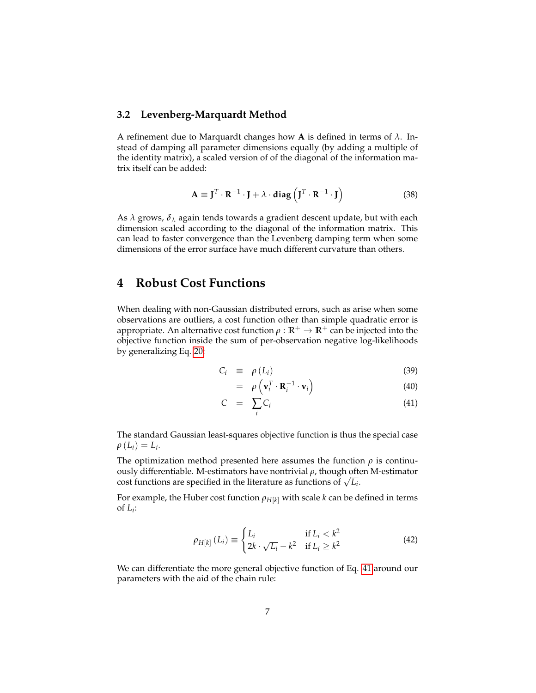#### **3.2 Levenberg-Marquardt Method**

A refinement due to Marquardt changes how **A** is defined in terms of *λ*. Instead of damping all parameter dimensions equally (by adding a multiple of the identity matrix), a scaled version of of the diagonal of the information matrix itself can be added:

$$
\mathbf{A} \equiv \mathbf{J}^T \cdot \mathbf{R}^{-1} \cdot \mathbf{J} + \lambda \cdot \mathbf{diag} \left( \mathbf{J}^T \cdot \mathbf{R}^{-1} \cdot \mathbf{J} \right)
$$
 (38)

As *λ* grows, *δ<sup>λ</sup>* again tends towards a gradient descent update, but with each dimension scaled according to the diagonal of the information matrix. This can lead to faster convergence than the Levenberg damping term when some dimensions of the error surface have much different curvature than others.

### **4 Robust Cost Functions**

When dealing with non-Gaussian distributed errors, such as arise when some observations are outliers, a cost function other than simple quadratic error is appropriate. An alternative cost function  $\rho : \mathbb{R}^+ \to \mathbb{R}^+$  can be injected into the objective function inside the sum of per-observation negative log-likelihoods by generalizing Eq. [20:](#page-3-1)

<span id="page-6-0"></span>
$$
C_i \equiv \rho(L_i) \tag{39}
$$

$$
= \rho \left( \mathbf{v}_i^T \cdot \mathbf{R}_i^{-1} \cdot \mathbf{v}_i \right) \tag{40}
$$

$$
C = \sum_{i} C_i \tag{41}
$$

The standard Gaussian least-squares objective function is thus the special case  $\rho(L_i) = L_i$ .

The optimization method presented here assumes the function  $\rho$  is continuously differentiable. M-estimators have nontrivial *ρ*, though often M-estimator Four differentiable. M-estimators have nontrivial  $\rho$ , though ofthe cost functions are specified in the literature as functions of  $\sqrt{L_i}$ .

For example, the Huber cost function  $\rho_{H[k]}$  with scale *k* can be defined in terms of  $L_i$ :

$$
\rho_{H[k]}(L_i) \equiv \begin{cases} L_i & \text{if } L_i < k^2 \\ 2k \cdot \sqrt{L_i} - k^2 & \text{if } L_i \ge k^2 \end{cases} \tag{42}
$$

We can differentiate the more general objective function of Eq. [41](#page-6-0) around our parameters with the aid of the chain rule: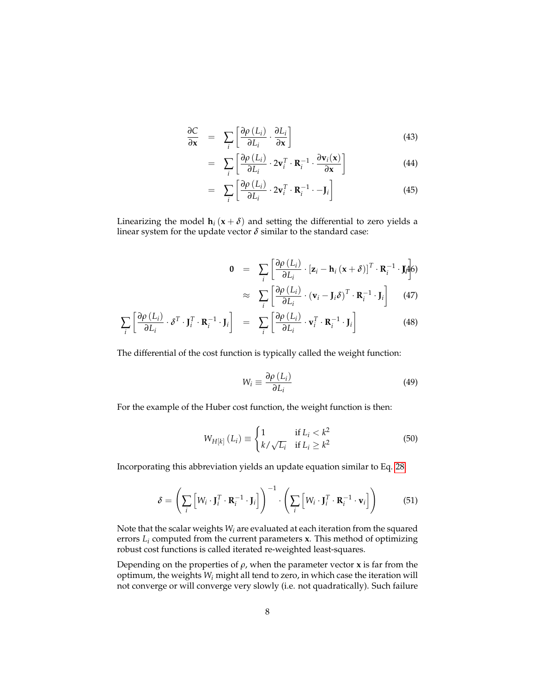$$
\frac{\partial C}{\partial \mathbf{x}} = \sum_{i} \left[ \frac{\partial \rho \left( L_{i} \right)}{\partial L_{i}} \cdot \frac{\partial L_{i}}{\partial \mathbf{x}} \right]
$$
(43)

$$
= \sum_{i} \left[ \frac{\partial \rho(L_i)}{\partial L_i} \cdot 2\mathbf{v}_i^T \cdot \mathbf{R}_i^{-1} \cdot \frac{\partial \mathbf{v}_i(\mathbf{x})}{\partial \mathbf{x}} \right]
$$
(44)

$$
= \sum_{i} \left[ \frac{\partial \rho \left( L_{i} \right)}{\partial L_{i}} \cdot 2 \mathbf{v}_{i}^{T} \cdot \mathbf{R}_{i}^{-1} \cdot -\mathbf{J}_{i} \right]
$$
(45)

Linearizing the model  $h_i$  ( $x + \delta$ ) and setting the differential to zero yields a linear system for the update vector  $\delta$  similar to the standard case:

$$
\mathbf{0} = \sum_{i} \left[ \frac{\partial \rho(L_i)}{\partial L_i} \cdot [\mathbf{z}_i - \mathbf{h}_i (\mathbf{x} + \delta)]^T \cdot \mathbf{R}_i^{-1} \cdot \mathbf{M} \right] \tag{47}
$$

$$
\approx \sum_{i} \left[ \frac{\partial \rho(L_i)}{\partial L_i} \cdot (\mathbf{w}_i - \mathbf{L} \delta)^T \cdot \mathbf{R}_i^{-1} \cdot \mathbf{L} \right] \tag{47}
$$

$$
\approx \sum_{i} \left[ \frac{\partial \rho (L_i)}{\partial L_i} \cdot (\mathbf{v}_i - \mathbf{J}_i \delta)^T \cdot \mathbf{R}_i^{-1} \cdot \mathbf{J}_i \right] \tag{47}
$$

$$
\sum_{i} \left[ \frac{\partial \rho (L_i)}{\partial L_i} \cdot \delta^T \cdot \mathbf{J}_i^T \cdot \mathbf{R}_i^{-1} \cdot \mathbf{J}_i \right] = \sum_{i} \left[ \frac{\partial \rho (L_i)}{\partial L_i} \cdot \mathbf{v}_i^T \cdot \mathbf{R}_i^{-1} \cdot \mathbf{J}_i \right]
$$
(48)

The differential of the cost function is typically called the weight function:

$$
W_i \equiv \frac{\partial \rho \left( L_i \right)}{\partial L_i} \tag{49}
$$

For the example of the Huber cost function, the weight function is then:

$$
W_{H[k]}(L_i) \equiv \begin{cases} 1 & \text{if } L_i < k^2 \\ k / \sqrt{L_i} & \text{if } L_i \ge k^2 \end{cases} \tag{50}
$$

Incorporating this abbreviation yields an update equation similar to Eq. [28:](#page-4-1)

$$
\delta = \left(\sum_{i} \left[ W_i \cdot \mathbf{J}_i^T \cdot \mathbf{R}_i^{-1} \cdot \mathbf{J}_i \right] \right)^{-1} \cdot \left( \sum_{i} \left[ W_i \cdot \mathbf{J}_i^T \cdot \mathbf{R}_i^{-1} \cdot \mathbf{v}_i \right] \right)
$$
(51)

Note that the scalar weights *W<sup>i</sup>* are evaluated at each iteration from the squared errors *L<sup>i</sup>* computed from the current parameters **x**. This method of optimizing robust cost functions is called iterated re-weighted least-squares.

Depending on the properties of  $\rho$ , when the parameter vector **x** is far from the optimum, the weights *W<sup>i</sup>* might all tend to zero, in which case the iteration will not converge or will converge very slowly (i.e. not quadratically). Such failure